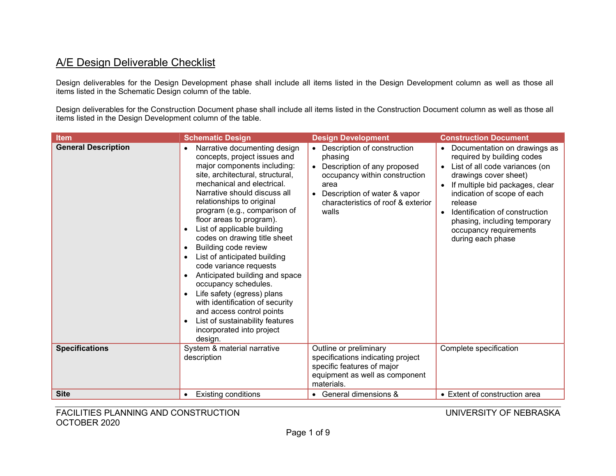## A/E Design Deliverable Checklist

Design deliverables for the Design Development phase shall include all items listed in the Design Development column as well as those all items listed in the Schematic Design column of the table.

Design deliverables for the Construction Document phase shall include all items listed in the Construction Document column as well as those all items listed in the Design Development column of the table.

| <b>Item</b>                | <b>Schematic Design</b>                                                                                                                                                                                                                                                                                                                                                                                                                                                                                                                                                                                                                                                                                                                     | <b>Design Development</b>                                                                                                                                                                                      | <b>Construction Document</b>                                                                                                                                                                                                                                                                                                       |
|----------------------------|---------------------------------------------------------------------------------------------------------------------------------------------------------------------------------------------------------------------------------------------------------------------------------------------------------------------------------------------------------------------------------------------------------------------------------------------------------------------------------------------------------------------------------------------------------------------------------------------------------------------------------------------------------------------------------------------------------------------------------------------|----------------------------------------------------------------------------------------------------------------------------------------------------------------------------------------------------------------|------------------------------------------------------------------------------------------------------------------------------------------------------------------------------------------------------------------------------------------------------------------------------------------------------------------------------------|
| <b>General Description</b> | Narrative documenting design<br>$\bullet$<br>concepts, project issues and<br>major components including:<br>site, architectural, structural,<br>mechanical and electrical.<br>Narrative should discuss all<br>relationships to original<br>program (e.g., comparison of<br>floor areas to program).<br>List of applicable building<br>codes on drawing title sheet<br>Building code review<br>$\bullet$<br>List of anticipated building<br>code variance requests<br>Anticipated building and space<br>$\bullet$<br>occupancy schedules.<br>Life safety (egress) plans<br>$\bullet$<br>with identification of security<br>and access control points<br>List of sustainability features<br>$\bullet$<br>incorporated into project<br>design. | • Description of construction<br>phasing<br>• Description of any proposed<br>occupancy within construction<br>area<br>Description of water & vapor<br>$\bullet$<br>characteristics of roof & exterior<br>walls | Documentation on drawings as<br>required by building codes<br>• List of all code variances (on<br>drawings cover sheet)<br>If multiple bid packages, clear<br>indication of scope of each<br>release<br>Identification of construction<br>$\bullet$<br>phasing, including temporary<br>occupancy requirements<br>during each phase |
| <b>Specifications</b>      | System & material narrative<br>description                                                                                                                                                                                                                                                                                                                                                                                                                                                                                                                                                                                                                                                                                                  | Outline or preliminary<br>specifications indicating project                                                                                                                                                    | Complete specification                                                                                                                                                                                                                                                                                                             |
|                            |                                                                                                                                                                                                                                                                                                                                                                                                                                                                                                                                                                                                                                                                                                                                             | specific features of major                                                                                                                                                                                     |                                                                                                                                                                                                                                                                                                                                    |
|                            |                                                                                                                                                                                                                                                                                                                                                                                                                                                                                                                                                                                                                                                                                                                                             | equipment as well as component<br>materials.                                                                                                                                                                   |                                                                                                                                                                                                                                                                                                                                    |
| <b>Site</b>                | <b>Existing conditions</b><br>$\bullet$                                                                                                                                                                                                                                                                                                                                                                                                                                                                                                                                                                                                                                                                                                     | • General dimensions &                                                                                                                                                                                         | • Extent of construction area                                                                                                                                                                                                                                                                                                      |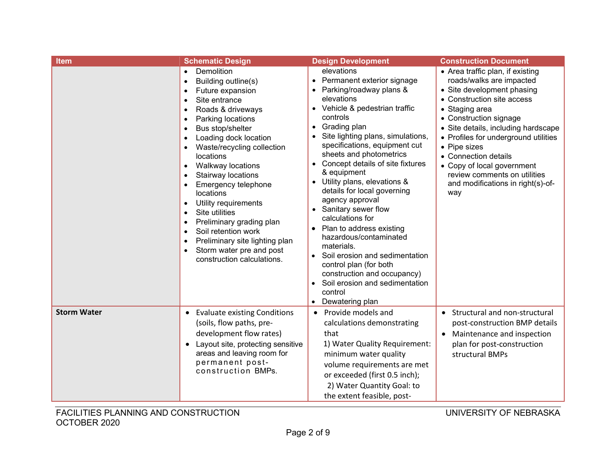| <b>Item</b>        | <b>Schematic Design</b>                                                                                                                                                                                                                                                                                                                                                                                                                                                                                                                                                                                                                             | <b>Design Development</b>                                                                                                                                                                                                                                                                                                                                                                                                                                                                                                                                                                                                                                                | <b>Construction Document</b>                                                                                                                                                                                                                                                                                                                                                                          |
|--------------------|-----------------------------------------------------------------------------------------------------------------------------------------------------------------------------------------------------------------------------------------------------------------------------------------------------------------------------------------------------------------------------------------------------------------------------------------------------------------------------------------------------------------------------------------------------------------------------------------------------------------------------------------------------|--------------------------------------------------------------------------------------------------------------------------------------------------------------------------------------------------------------------------------------------------------------------------------------------------------------------------------------------------------------------------------------------------------------------------------------------------------------------------------------------------------------------------------------------------------------------------------------------------------------------------------------------------------------------------|-------------------------------------------------------------------------------------------------------------------------------------------------------------------------------------------------------------------------------------------------------------------------------------------------------------------------------------------------------------------------------------------------------|
|                    | Demolition<br>Building outline(s)<br>$\bullet$<br>Future expansion<br>$\bullet$<br>Site entrance<br>$\bullet$<br>Roads & driveways<br>$\bullet$<br>Parking locations<br>$\bullet$<br>Bus stop/shelter<br>$\bullet$<br>Loading dock location<br>Waste/recycling collection<br>locations<br>Walkway locations<br>$\bullet$<br>Stairway locations<br>Emergency telephone<br><b>locations</b><br>Utility requirements<br>$\bullet$<br>Site utilities<br>$\bullet$<br>Preliminary grading plan<br>$\bullet$<br>Soil retention work<br>$\bullet$<br>Preliminary site lighting plan<br>$\bullet$<br>Storm water pre and post<br>construction calculations. | elevations<br>• Permanent exterior signage<br>• Parking/roadway plans &<br>elevations<br>• Vehicle & pedestrian traffic<br>controls<br>Grading plan<br>Site lighting plans, simulations,<br>specifications, equipment cut<br>sheets and photometrics<br>• Concept details of site fixtures<br>& equipment<br>• Utility plans, elevations &<br>details for local governing<br>agency approval<br>• Sanitary sewer flow<br>calculations for<br>Plan to address existing<br>hazardous/contaminated<br>materials.<br>Soil erosion and sedimentation<br>control plan (for both<br>construction and occupancy)<br>Soil erosion and sedimentation<br>control<br>Dewatering plan | • Area traffic plan, if existing<br>roads/walks are impacted<br>• Site development phasing<br>• Construction site access<br>• Staging area<br>• Construction signage<br>• Site details, including hardscape<br>• Profiles for underground utilities<br>• Pipe sizes<br>• Connection details<br>• Copy of local government<br>review comments on utilities<br>and modifications in right(s)-of-<br>way |
| <b>Storm Water</b> | <b>Evaluate existing Conditions</b><br>$\bullet$<br>(soils, flow paths, pre-<br>development flow rates)<br>Layout site, protecting sensitive<br>$\bullet$<br>areas and leaving room for<br>permanent post-<br>construction BMPs.                                                                                                                                                                                                                                                                                                                                                                                                                    | Provide models and<br>$\bullet$<br>calculations demonstrating<br>that<br>1) Water Quality Requirement:<br>minimum water quality<br>volume requirements are met<br>or exceeded (first 0.5 inch);<br>2) Water Quantity Goal: to<br>the extent feasible, post-                                                                                                                                                                                                                                                                                                                                                                                                              | Structural and non-structural<br>post-construction BMP details<br>Maintenance and inspection<br>plan for post-construction<br>structural BMPs                                                                                                                                                                                                                                                         |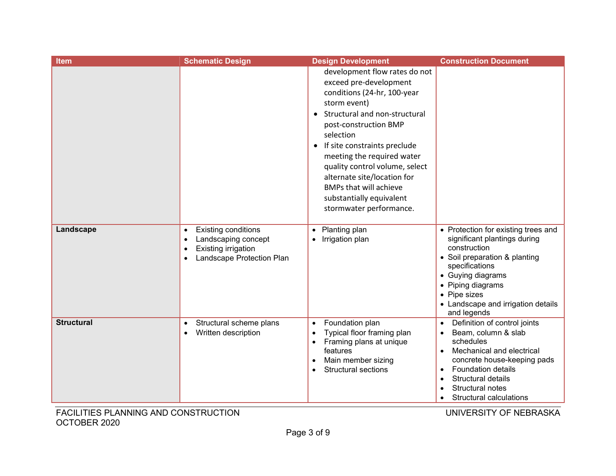| <b>Item</b>       | <b>Schematic Design</b>                                                                                                                                   | <b>Design Development</b>                                                                                                                                                                                                                                                                                                                                                                                         | <b>Construction Document</b>                                                                                                                                                                                                                             |
|-------------------|-----------------------------------------------------------------------------------------------------------------------------------------------------------|-------------------------------------------------------------------------------------------------------------------------------------------------------------------------------------------------------------------------------------------------------------------------------------------------------------------------------------------------------------------------------------------------------------------|----------------------------------------------------------------------------------------------------------------------------------------------------------------------------------------------------------------------------------------------------------|
|                   |                                                                                                                                                           | development flow rates do not<br>exceed pre-development<br>conditions (24-hr, 100-year<br>storm event)<br>Structural and non-structural<br>post-construction BMP<br>selection<br>If site constraints preclude<br>$\bullet$<br>meeting the required water<br>quality control volume, select<br>alternate site/location for<br><b>BMPs that will achieve</b><br>substantially equivalent<br>stormwater performance. |                                                                                                                                                                                                                                                          |
| Landscape         | <b>Existing conditions</b><br>$\bullet$<br>Landscaping concept<br>$\bullet$<br>Existing irrigation<br>$\bullet$<br>Landscape Protection Plan<br>$\bullet$ | Planting plan<br>$\bullet$<br>Irrigation plan                                                                                                                                                                                                                                                                                                                                                                     | • Protection for existing trees and<br>significant plantings during<br>construction<br>• Soil preparation & planting<br>specifications<br>• Guying diagrams<br>• Piping diagrams<br>• Pipe sizes<br>• Landscape and irrigation details<br>and legends    |
| <b>Structural</b> | Structural scheme plans<br>$\bullet$<br>Written description<br>$\bullet$                                                                                  | Foundation plan<br>$\bullet$<br>Typical floor framing plan<br>Framing plans at unique<br>$\bullet$<br>features<br>Main member sizing<br>$\bullet$<br><b>Structural sections</b>                                                                                                                                                                                                                                   | Definition of control joints<br>Beam, column & slab<br>$\bullet$<br>schedules<br>Mechanical and electrical<br>$\bullet$<br>concrete house-keeping pads<br><b>Foundation details</b><br>Structural details<br>Structural notes<br>Structural calculations |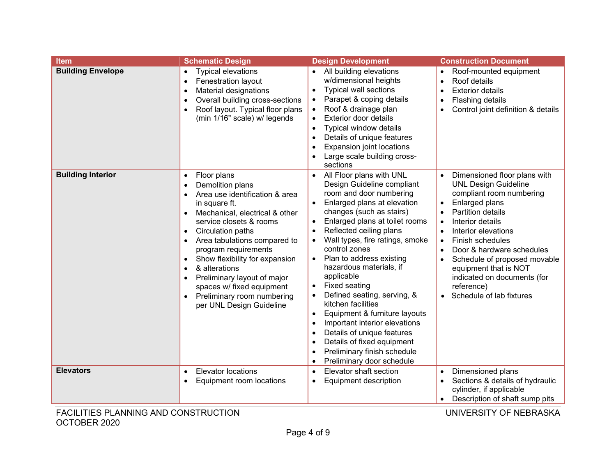| <b>Item</b>              | <b>Schematic Design</b>                                                                                                                                                                                                                                                                                                                                                                                                                                                                                                                 | <b>Design Development</b>                                                                                                                                                                                                                                                                                                                                                                                                                                                                                                                                                                                                                                                  | <b>Construction Document</b>                                                                                                                                                                                                                                                                                                                                                                                                         |
|--------------------------|-----------------------------------------------------------------------------------------------------------------------------------------------------------------------------------------------------------------------------------------------------------------------------------------------------------------------------------------------------------------------------------------------------------------------------------------------------------------------------------------------------------------------------------------|----------------------------------------------------------------------------------------------------------------------------------------------------------------------------------------------------------------------------------------------------------------------------------------------------------------------------------------------------------------------------------------------------------------------------------------------------------------------------------------------------------------------------------------------------------------------------------------------------------------------------------------------------------------------------|--------------------------------------------------------------------------------------------------------------------------------------------------------------------------------------------------------------------------------------------------------------------------------------------------------------------------------------------------------------------------------------------------------------------------------------|
| <b>Building Envelope</b> | <b>Typical elevations</b><br>$\bullet$<br>Fenestration layout<br>$\bullet$<br>Material designations<br>$\bullet$<br>Overall building cross-sections<br>$\bullet$<br>Roof layout. Typical floor plans<br>$\bullet$<br>(min 1/16" scale) w/ legends                                                                                                                                                                                                                                                                                       | • All building elevations<br>w/dimensional heights<br><b>Typical wall sections</b><br>$\bullet$<br>Parapet & coping details<br>Roof & drainage plan<br>$\bullet$<br><b>Exterior door details</b><br>$\bullet$<br>Typical window details<br>Details of unique features<br>Expansion joint locations<br>Large scale building cross-<br>sections                                                                                                                                                                                                                                                                                                                              | Roof-mounted equipment<br>$\bullet$<br>Roof details<br>$\bullet$<br><b>Exterior details</b><br>$\bullet$<br>Flashing details<br>$\bullet$<br>Control joint definition & details                                                                                                                                                                                                                                                      |
| <b>Building Interior</b> | Floor plans<br>$\bullet$<br>Demolition plans<br>$\bullet$<br>Area use identification & area<br>$\bullet$<br>in square ft.<br>Mechanical, electrical & other<br>$\bullet$<br>service closets & rooms<br>Circulation paths<br>$\bullet$<br>Area tabulations compared to<br>$\bullet$<br>program requirements<br>Show flexibility for expansion<br>$\bullet$<br>& alterations<br>$\bullet$<br>Preliminary layout of major<br>$\bullet$<br>spaces w/ fixed equipment<br>Preliminary room numbering<br>$\bullet$<br>per UNL Design Guideline | All Floor plans with UNL<br>Design Guideline compliant<br>room and door numbering<br>Enlarged plans at elevation<br>$\bullet$<br>changes (such as stairs)<br>Enlarged plans at toilet rooms<br>$\bullet$<br>Reflected ceiling plans<br>Wall types, fire ratings, smoke<br>control zones<br>Plan to address existing<br>$\bullet$<br>hazardous materials, if<br>applicable<br><b>Fixed seating</b><br>Defined seating, serving, &<br>kitchen facilities<br>Equipment & furniture layouts<br>$\bullet$<br>Important interior elevations<br>Details of unique features<br>Details of fixed equipment<br>$\bullet$<br>Preliminary finish schedule<br>Preliminary door schedule | Dimensioned floor plans with<br><b>UNL Design Guideline</b><br>compliant room numbering<br>Enlarged plans<br>$\bullet$<br><b>Partition details</b><br>Interior details<br>$\bullet$<br>Interior elevations<br>$\bullet$<br>Finish schedules<br>$\bullet$<br>Door & hardware schedules<br>Schedule of proposed movable<br>equipment that is NOT<br>indicated on documents (for<br>reference)<br>Schedule of lab fixtures<br>$\bullet$ |
| <b>Elevators</b>         | <b>Elevator locations</b><br>$\bullet$<br>Equipment room locations<br>$\bullet$                                                                                                                                                                                                                                                                                                                                                                                                                                                         | Elevator shaft section<br><b>Equipment description</b>                                                                                                                                                                                                                                                                                                                                                                                                                                                                                                                                                                                                                     | Dimensioned plans<br>Sections & details of hydraulic<br>cylinder, if applicable<br>Description of shaft sump pits                                                                                                                                                                                                                                                                                                                    |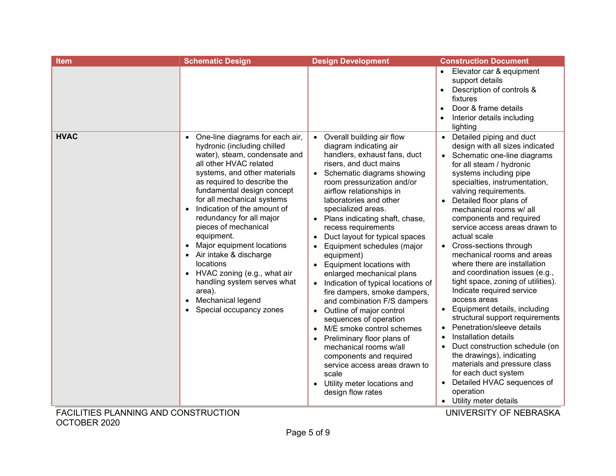| Elevator car & equipment<br>support details<br>Description of controls &<br>$\bullet$<br>fixtures<br>Door & frame details<br>$\bullet$<br>Interior details including<br>lighting<br><b>HVAC</b><br>Detailed piping and duct<br>One-line diagrams for each air,<br>• Overall building air flow<br>$\bullet$<br>hydronic (including chilled<br>diagram indicating air<br>design with all sizes indicated<br>water), steam, condensate and<br>handlers, exhaust fans, duct<br>Schematic one-line diagrams<br>all other HVAC related<br>risers, and duct mains<br>for all steam / hydronic<br>systems, and other materials<br>systems including pipe<br>• Schematic diagrams showing<br>as required to describe the<br>room pressurization and/or<br>specialties, instrumentation,<br>fundamental design concept<br>airflow relationships in<br>valving requirements.<br>for all mechanical systems<br>laboratories and other<br>Detailed floor plans of<br>Indication of the amount of<br>specialized areas.<br>mechanical rooms w/ all<br>$\bullet$<br>redundancy for all major<br>• Plans indicating shaft, chase,<br>components and required<br>pieces of mechanical<br>recess requirements<br>service access areas drawn to<br>equipment.<br>Duct layout for typical spaces<br>actual scale<br>$\bullet$<br>Major equipment locations<br>Equipment schedules (major<br>Cross-sections through<br>$\bullet$<br>mechanical rooms and areas<br>• Air intake & discharge<br>equipment)<br>where there are installation<br>locations<br><b>Equipment locations with</b><br>$\bullet$<br>and coordination issues (e.g.,<br>HVAC zoning (e.g., what air<br>enlarged mechanical plans<br>tight space, zoning of utilities).<br>handling system serves what<br>Indication of typical locations of<br>Indicate required service<br>area).<br>fire dampers, smoke dampers,<br>access areas<br>Mechanical legend<br>and combination F/S dampers<br>$\bullet$<br>Equipment details, including<br>Special occupancy zones<br>Outline of major control<br>$\bullet$<br>structural support requirements<br>sequences of operation<br>Penetration/sleeve details<br>M/E smoke control schemes<br>$\bullet$<br>Installation details<br>Preliminary floor plans of<br>Duct construction schedule (on<br>mechanical rooms w/all<br>the drawings), indicating<br>components and required<br>materials and pressure class<br>service access areas drawn to<br>for each duct system<br>scale<br>Detailed HVAC sequences of<br>Utility meter locations and<br>$\bullet$<br>operation<br>design flow rates<br>• Utility meter details | <b>Item</b> | <b>Schematic Design</b> | <b>Design Development</b> | <b>Construction Document</b> |
|---------------------------------------------------------------------------------------------------------------------------------------------------------------------------------------------------------------------------------------------------------------------------------------------------------------------------------------------------------------------------------------------------------------------------------------------------------------------------------------------------------------------------------------------------------------------------------------------------------------------------------------------------------------------------------------------------------------------------------------------------------------------------------------------------------------------------------------------------------------------------------------------------------------------------------------------------------------------------------------------------------------------------------------------------------------------------------------------------------------------------------------------------------------------------------------------------------------------------------------------------------------------------------------------------------------------------------------------------------------------------------------------------------------------------------------------------------------------------------------------------------------------------------------------------------------------------------------------------------------------------------------------------------------------------------------------------------------------------------------------------------------------------------------------------------------------------------------------------------------------------------------------------------------------------------------------------------------------------------------------------------------------------------------------------------------------------------------------------------------------------------------------------------------------------------------------------------------------------------------------------------------------------------------------------------------------------------------------------------------------------------------------------------------------------------------------------------------------------------------------------------------------------------------------------------------------------------------------------------------|-------------|-------------------------|---------------------------|------------------------------|
|                                                                                                                                                                                                                                                                                                                                                                                                                                                                                                                                                                                                                                                                                                                                                                                                                                                                                                                                                                                                                                                                                                                                                                                                                                                                                                                                                                                                                                                                                                                                                                                                                                                                                                                                                                                                                                                                                                                                                                                                                                                                                                                                                                                                                                                                                                                                                                                                                                                                                                                                                                                                               |             |                         |                           |                              |
|                                                                                                                                                                                                                                                                                                                                                                                                                                                                                                                                                                                                                                                                                                                                                                                                                                                                                                                                                                                                                                                                                                                                                                                                                                                                                                                                                                                                                                                                                                                                                                                                                                                                                                                                                                                                                                                                                                                                                                                                                                                                                                                                                                                                                                                                                                                                                                                                                                                                                                                                                                                                               |             |                         |                           |                              |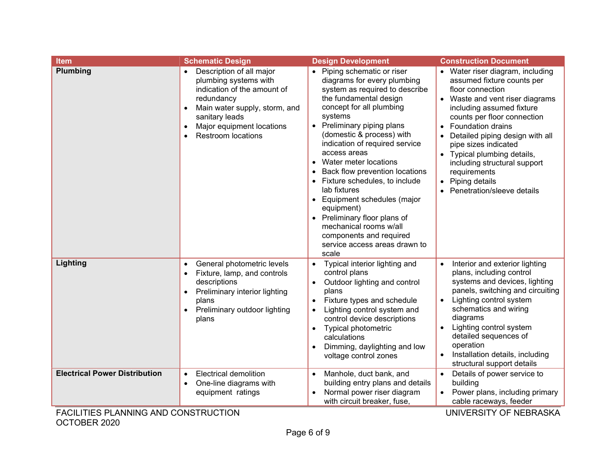| <b>Item</b>                                                                                                   | <b>Schematic Design</b>                                                                                                                                                                                                  | <b>Design Development</b>                                                                                                                                                                                                                                                                                                                                                                                                                                                                                                                                               | <b>Construction Document</b>                                                                                                                                                                                                                                                                                                                                                                                                              |
|---------------------------------------------------------------------------------------------------------------|--------------------------------------------------------------------------------------------------------------------------------------------------------------------------------------------------------------------------|-------------------------------------------------------------------------------------------------------------------------------------------------------------------------------------------------------------------------------------------------------------------------------------------------------------------------------------------------------------------------------------------------------------------------------------------------------------------------------------------------------------------------------------------------------------------------|-------------------------------------------------------------------------------------------------------------------------------------------------------------------------------------------------------------------------------------------------------------------------------------------------------------------------------------------------------------------------------------------------------------------------------------------|
| Plumbing                                                                                                      | Description of all major<br>plumbing systems with<br>indication of the amount of<br>redundancy<br>Main water supply, storm, and<br>sanitary leads<br>Major equipment locations<br>$\bullet$<br><b>Restroom locations</b> | • Piping schematic or riser<br>diagrams for every plumbing<br>system as required to describe<br>the fundamental design<br>concept for all plumbing<br>systems<br>• Preliminary piping plans<br>(domestic & process) with<br>indication of required service<br>access areas<br>• Water meter locations<br>Back flow prevention locations<br>• Fixture schedules, to include<br>lab fixtures<br>• Equipment schedules (major<br>equipment)<br>• Preliminary floor plans of<br>mechanical rooms w/all<br>components and required<br>service access areas drawn to<br>scale | • Water riser diagram, including<br>assumed fixture counts per<br>floor connection<br>• Waste and vent riser diagrams<br>including assumed fixture<br>counts per floor connection<br>Foundation drains<br>Detailed piping design with all<br>pipe sizes indicated<br>Typical plumbing details,<br>including structural support<br>requirements<br>Piping details<br>Penetration/sleeve details                                            |
| Lighting                                                                                                      | General photometric levels<br>Fixture, lamp, and controls<br>descriptions<br>Preliminary interior lighting<br>plans<br>Preliminary outdoor lighting<br>plans                                                             | Typical interior lighting and<br>$\bullet$<br>control plans<br>Outdoor lighting and control<br>$\bullet$<br>plans<br>Fixture types and schedule<br>Lighting control system and<br>$\bullet$<br>control device descriptions<br><b>Typical photometric</b><br>$\bullet$<br>calculations<br>Dimming, daylighting and low<br>voltage control zones                                                                                                                                                                                                                          | Interior and exterior lighting<br>plans, including control<br>systems and devices, lighting<br>panels, switching and circuiting<br>Lighting control system<br>schematics and wiring<br>diagrams<br>Lighting control system<br>detailed sequences of<br>operation<br>Installation details, including<br>structural support details                                                                                                         |
| <b>Electrical Power Distribution</b><br>$F(A)$ $F(F)$ $F(A)$ $A(A)$ $B(A)$ $A(A)$ $B(A)$ $A(A)$ $F(A)$ $A(A)$ | <b>Electrical demolition</b><br>$\bullet$<br>One-line diagrams with<br>equipment ratings                                                                                                                                 | Manhole, duct bank, and<br>$\bullet$<br>building entry plans and details<br>Normal power riser diagram<br>$\bullet$<br>with circuit breaker, fuse,                                                                                                                                                                                                                                                                                                                                                                                                                      | Details of power service to<br>building<br>Power plans, including primary<br>cable raceways, feeder<br>$\mathbf{1}$ $\mathbf{1}$ $\mathbf{1}$ $\mathbf{1}$ $\mathbf{1}$ $\mathbf{1}$ $\mathbf{1}$ $\mathbf{1}$ $\mathbf{1}$ $\mathbf{1}$ $\mathbf{1}$ $\mathbf{1}$ $\mathbf{1}$ $\mathbf{1}$ $\mathbf{1}$ $\mathbf{1}$ $\mathbf{1}$ $\mathbf{1}$ $\mathbf{1}$ $\mathbf{1}$ $\mathbf{1}$ $\mathbf{1}$ $\mathbf{1}$ $\mathbf{1}$ $\mathbf{$ |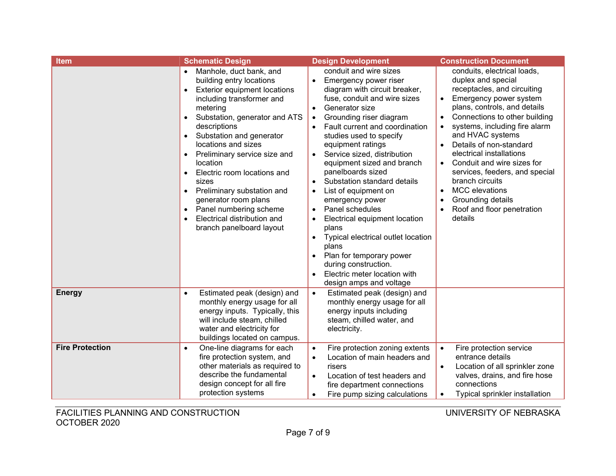| <b>Item</b>            | <b>Schematic Design</b>                                                                                                                                                                                                                                                                                                                                                                                                                                                                                                                                           | <b>Design Development</b>                                                                                                                                                                                                                                                                                                                                                                                                                                                                                                                                                                                                                                                                                                                                                             | <b>Construction Document</b>                                                                                                                                                                                                                                                                                                                                                                                                                                                                                                                                              |
|------------------------|-------------------------------------------------------------------------------------------------------------------------------------------------------------------------------------------------------------------------------------------------------------------------------------------------------------------------------------------------------------------------------------------------------------------------------------------------------------------------------------------------------------------------------------------------------------------|---------------------------------------------------------------------------------------------------------------------------------------------------------------------------------------------------------------------------------------------------------------------------------------------------------------------------------------------------------------------------------------------------------------------------------------------------------------------------------------------------------------------------------------------------------------------------------------------------------------------------------------------------------------------------------------------------------------------------------------------------------------------------------------|---------------------------------------------------------------------------------------------------------------------------------------------------------------------------------------------------------------------------------------------------------------------------------------------------------------------------------------------------------------------------------------------------------------------------------------------------------------------------------------------------------------------------------------------------------------------------|
|                        | Manhole, duct bank, and<br>$\bullet$<br>building entry locations<br><b>Exterior equipment locations</b><br>including transformer and<br>metering<br>Substation, generator and ATS<br>$\bullet$<br>descriptions<br>Substation and generator<br>$\bullet$<br>locations and sizes<br>Preliminary service size and<br>$\bullet$<br>location<br>Electric room locations and<br>$\bullet$<br>sizes<br>Preliminary substation and<br>$\bullet$<br>generator room plans<br>Panel numbering scheme<br>$\bullet$<br>Electrical distribution and<br>branch panelboard layout | conduit and wire sizes<br>Emergency power riser<br>$\bullet$<br>diagram with circuit breaker,<br>fuse, conduit and wire sizes<br>Generator size<br>$\bullet$<br>Grounding riser diagram<br>$\bullet$<br>Fault current and coordination<br>$\bullet$<br>studies used to specify<br>equipment ratings<br>Service sized, distribution<br>$\bullet$<br>equipment sized and branch<br>panelboards sized<br>Substation standard details<br>$\bullet$<br>List of equipment on<br>$\bullet$<br>emergency power<br>Panel schedules<br>$\bullet$<br>Electrical equipment location<br>$\bullet$<br>plans<br>Typical electrical outlet location<br>$\bullet$<br>plans<br>Plan for temporary power<br>$\bullet$<br>during construction.<br>Electric meter location with<br>design amps and voltage | conduits, electrical loads,<br>duplex and special<br>receptacles, and circuiting<br>Emergency power system<br>$\bullet$<br>plans, controls, and details<br>Connections to other building<br>$\bullet$<br>systems, including fire alarm<br>$\bullet$<br>and HVAC systems<br>Details of non-standard<br>$\bullet$<br>electrical installations<br>Conduit and wire sizes for<br>$\bullet$<br>services, feeders, and special<br>branch circuits<br><b>MCC</b> elevations<br>$\bullet$<br>Grounding details<br>$\bullet$<br>Roof and floor penetration<br>$\bullet$<br>details |
| <b>Energy</b>          | Estimated peak (design) and<br>$\bullet$<br>monthly energy usage for all<br>energy inputs. Typically, this<br>will include steam, chilled<br>water and electricity for<br>buildings located on campus.                                                                                                                                                                                                                                                                                                                                                            | Estimated peak (design) and<br>$\bullet$<br>monthly energy usage for all<br>energy inputs including<br>steam, chilled water, and<br>electricity.                                                                                                                                                                                                                                                                                                                                                                                                                                                                                                                                                                                                                                      |                                                                                                                                                                                                                                                                                                                                                                                                                                                                                                                                                                           |
| <b>Fire Protection</b> | One-line diagrams for each<br>$\bullet$<br>fire protection system, and<br>other materials as required to<br>describe the fundamental<br>design concept for all fire<br>protection systems                                                                                                                                                                                                                                                                                                                                                                         | Fire protection zoning extents<br>$\bullet$<br>Location of main headers and<br>$\bullet$<br>risers<br>Location of test headers and<br>$\bullet$<br>fire department connections<br>Fire pump sizing calculations                                                                                                                                                                                                                                                                                                                                                                                                                                                                                                                                                                       | Fire protection service<br>$\bullet$<br>entrance details<br>Location of all sprinkler zone<br>$\bullet$<br>valves, drains, and fire hose<br>connections<br>Typical sprinkler installation<br>$\bullet$                                                                                                                                                                                                                                                                                                                                                                    |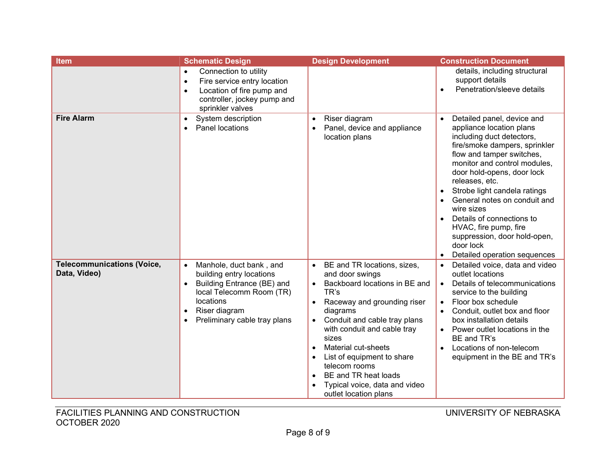| <b>Item</b>                                       | <b>Schematic Design</b>                                                                                                                                                                                                         | <b>Design Development</b>                                                                                                                                                                                                                                                                                                                                                                                              | <b>Construction Document</b>                                                                                                                                                                                                                                                                                                                                                                                                                                    |
|---------------------------------------------------|---------------------------------------------------------------------------------------------------------------------------------------------------------------------------------------------------------------------------------|------------------------------------------------------------------------------------------------------------------------------------------------------------------------------------------------------------------------------------------------------------------------------------------------------------------------------------------------------------------------------------------------------------------------|-----------------------------------------------------------------------------------------------------------------------------------------------------------------------------------------------------------------------------------------------------------------------------------------------------------------------------------------------------------------------------------------------------------------------------------------------------------------|
|                                                   | Connection to utility<br>$\bullet$<br>Fire service entry location<br>$\bullet$<br>Location of fire pump and<br>$\bullet$<br>controller, jockey pump and<br>sprinkler valves                                                     |                                                                                                                                                                                                                                                                                                                                                                                                                        | details, including structural<br>support details<br>Penetration/sleeve details<br>$\bullet$                                                                                                                                                                                                                                                                                                                                                                     |
| <b>Fire Alarm</b>                                 | System description<br>$\bullet$<br>Panel locations<br>$\bullet$                                                                                                                                                                 | Riser diagram<br>$\bullet$<br>Panel, device and appliance<br>$\bullet$<br>location plans                                                                                                                                                                                                                                                                                                                               | Detailed panel, device and<br>$\bullet$<br>appliance location plans<br>including duct detectors,<br>fire/smoke dampers, sprinkler<br>flow and tamper switches,<br>monitor and control modules,<br>door hold-opens, door lock<br>releases, etc.<br>Strobe light candela ratings<br>General notes on conduit and<br>wire sizes<br>Details of connections to<br>HVAC, fire pump, fire<br>suppression, door hold-open,<br>door lock<br>Detailed operation sequences |
| <b>Telecommunications (Voice,</b><br>Data, Video) | Manhole, duct bank, and<br>$\bullet$<br>building entry locations<br>Building Entrance (BE) and<br>$\bullet$<br>local Telecomm Room (TR)<br>locations<br>Riser diagram<br>$\bullet$<br>Preliminary cable tray plans<br>$\bullet$ | BE and TR locations, sizes,<br>$\bullet$<br>and door swings<br>Backboard locations in BE and<br>$\bullet$<br>TR's<br>Raceway and grounding riser<br>diagrams<br>Conduit and cable tray plans<br>with conduit and cable tray<br>sizes<br>Material cut-sheets<br>List of equipment to share<br>$\bullet$<br>telecom rooms<br>BE and TR heat loads<br>$\bullet$<br>Typical voice, data and video<br>outlet location plans | Detailed voice, data and video<br>$\bullet$<br>outlet locations<br>Details of telecommunications<br>$\bullet$<br>service to the building<br>Floor box schedule<br>$\bullet$<br>Conduit, outlet box and floor<br>box installation details<br>Power outlet locations in the<br>BE and TR's<br>Locations of non-telecom<br>$\bullet$<br>equipment in the BE and TR's                                                                                               |